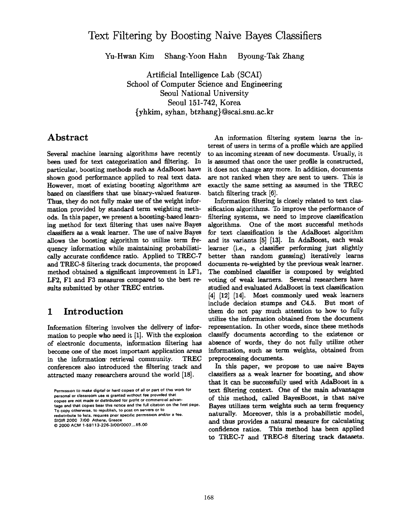# **Text Filtering by Boosting Naive Bayes Classifiers**

Yu-Hwan Kim Shang-Yoon Hahn Byoung-Tak Zhang

Artificial Intelligence Lab (SCAI) School of Computer Science and Engineering Seoul National University Seoul 151-742, Korea {yhkim, syhan, btzhang}@scai.snu.ac.kr

## **Abstract**

Several machine learning algorithms have recently been used for text categorization and filtering. In particular, boosting methods such as AdaBoost have shown good performance applied to real text data. However, most of existing boosting algorithms are based on classifiers that use binary-valued features. Thus, they do not fully make use of the weight information provided by standard term weighting methods. In this paper, we present a boosting-based learning method for text filtering that uses naive Bayes classifiers as a weak learner. The use of naive Bayes allows the boosting algorithm to utilize term frequency information while maintaining probabilistically accurate confidence ratio. Applied to TREC-7 and TREC-8 filtering track documents, the proposed method obtained a significant improvement in LF1, LF2, F1 and F3 measures compared to the best results submitted by other TREC entries.

## **1 Introduction**

Information filtering involves the delivery of information to people who need it [1]. With the explosion of electronic documents, information filtering has become one of the most important application areas in the information-retrieval community. TREC conferences also introduced the filtering track and attracted many researchers around the world [18].

Permission to make digital or hard copies of all or part of this work for personal or classroom use is granted without fee provided that **copies are not made or distributed for** profit or commercial advantage **and that copras bear** this notice and the full citation on the first page. To Copy otherwise, to republish, to post on servers **or to**  redistribute to lists, requires prior specific permission and/or a fee. SIGIR 2000 7•00 Athens, **Greece** 

An information filtering system learns the interest of users in terms of a profile which are applied to an incoming stream of new documents. Usually, it is assumed that once the user profile is constructed, it does not change any more. In addition, documents are not ranked when they are sent to users. This is exactly the same setting as assumed in the TREC batch filtering track [6].

Information filtering is closely related to text classification algorithms. To improve the performance of filtering systems, we need to improve classification algorithms. One of the most successful methods for text classification is the AdaBoost algorithm and its variants [5] [13]. In AdaBoost, each weak learner (i.e., a classifier performing just slightly better than random guessing) iteratively learns documents re-weighted by the previous weak learner. The combined classifier is composed by weighted voting of weak learners. Several researchers have studied and evaluated AdaBoost in text classification [4] [12] [14]. Most commonly used weak learners include decision stumps and C4.5. But most of them do not pay much attention to how to fully utilize the information obtained from the document representation. In other words, since these methods classify documents according to the existence or absence of words, they do not fully utilize other information, such as term weights, obtained from preprocessing documents.

In this paper, we propose to use naive Bayes classifiers as a weak learner for boosting, and show that it can be successfully used with AdaBoost in a text filtering context. One of the main advantages of this method, called BayesBoost, is that naive Bayes utilizes term weights such as term frequency naturally. Moreover, this is a probabilistic model, and thus provides a natural measure for calculating confidence ratios. This method has been applied to TREC-7 and TREC-8 filtering track datasets.

<sup>© 2000</sup> ACM 1-58113-226-310010007.., \$5.00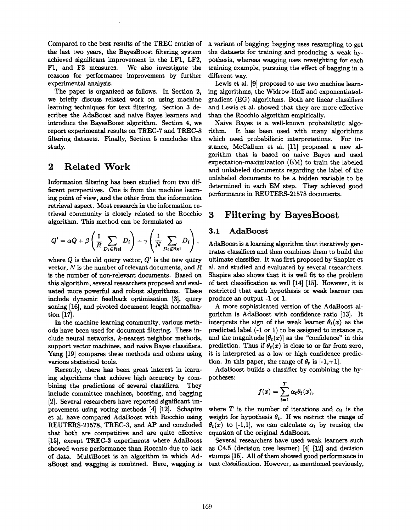Compared to the best results of the TREC entries of the last two years, the BayesBoost filtering system achieved significant improvement in the LF1, LF2, F1, and F3 measures. We also investigate the reasons for performance improvement by further experimental analysis.

The paper is organized as follows. In Section 2, we briefly discuss related work on using machine learning techniques for text filtering. Section 3 describes the AdaBoost and naive Bayes learners and introduce the BayesBoost algorithm. Section 4, we report experimental results on TREC-7 and TREC-8 filtering datasets. Finally, Section 5 concludes this study.

#### **2 Related Work**

Information filtering has been studied from two different perspectives. One is from the machine learning point of view, and the other from the information retrieval aspect. Most research in the information retrieval community is closely related to the Rocchio algorithm. This method can be formulated as

$$
Q' = \alpha \dot{Q} + \beta \left( \frac{1}{R} \sum_{D_i \in \text{Rel}} D_i \right) - \gamma \left( \frac{1}{N} \sum_{D_i \notin \text{Rel}} D_i \right),
$$

where  $Q$  is the old query vector,  $Q'$  is the new query vector,  $N$  is the number of relevant documents, and  $R$ is the number of non-relevant documents. Based on this algorithm, several researchers proposed and evaluated more powerful and robust algorithms. These include dynamic feedback optimization [3], query zoning [16], and pivoted document length normalization [17].

In the machine learning community, various methods have been used for document filtering. These include neural networks, k-nearest neighbor methods, support vector machines, and naive Bayes classifiers. Yang [19] compares these methods and others using various statistical tools.

Recently, there has been great interest in learning algorithms that achieve high accuracy by combining the predictions of several classifiers. They include committee machines, boosting, and bagging [2]. Several researchers have reported significant improvement using voting methods [4] [12]. Schapire et al. have compared AdaBoost with Rocchio using REUTERS-21578, TREC-3, and AP and concluded that both are competitive and are quite effective [15], except TREC-3 experiments where AdaBoost showed worse performance than Rocchio due to lack of data. MultiBoost is an algorithm in which AdaBoost and wagging is combined. Here, wagging is a variant of bagging; bagging uses resampling to get the datasets for training and producing a weak hypothesis, whereas wagging uses reweighting for each training example, pursuing the effect of bagging in a different way.

Lewis et al. [9] proposed to use two machine learning algorithms, the Widrow-Hoff and exponentiatedgradient (EG) algorithms. Both are linear classifiers and Lewis et al. showed that they are more effective than the Rocchio algorithm empirically.

Naive Bayes is a well-known probabilistic algorithm. It has been used with many algorithms which need probabilistic interpretations. For instance, McCallum et ai. [11] proposed a new algorithm that is based on naive Bayes and used expectation-maximization (EM) to train the labeled and unlabeled documents regarding the label of the unlabeled documents to be a hidden variable to be determined in each EM step. They achieved good performance in REUTERS-21578 documents.

## **3 Filtering by BayesBoost**

#### 3.1 AdaBoost

AdaBoost is a learning algorithm that iteratively generates classifiers and then combines them to build the ultimate classifier. It was first proposed by Shapire et al. and studied and evaluated by several researchers. Shapire also shows that it is well fit to the problem of text classification as well [14] [15]. However, it is restricted that each hypothesis or weak learner can produce an output -1 or 1.

A more sophisticated version of the AdaBoost algorithm is AdaBoost with confidence ratio [13]. It interprets the sign of the weak learner  $\theta_t(x)$  as the predicted label  $(-1 \text{ or } 1)$  to be assigned to instance x, and the magnitude  $|\theta_t(x)|$  as the "confidence" in this prediction. Thus if  $\theta_t(x)$  is close to or far from zero, it is interpreted as a low or high confidence prediction. In this paper, the range of  $\theta_t$  is [-1,+1].

AdaBoost builds a classifier by combining the hypotheses:

$$
f(x) = \sum_{t=1}^T \alpha_t \theta_t(x),
$$

where T is the number of iterations and  $\alpha_t$  is the weight for hypothesis  $\theta_t$ . If we restrict the range of  $\theta_t(x)$  to [-1,1], we can calculate  $\alpha_t$  by reusing the equation of the original AdaBoost.

Several researchers have used weak learners such as C4.5 (decision tree learner) [4] [12] and decision stumps [15]. All of them showed good performance in text classification. However, as mentioned previously,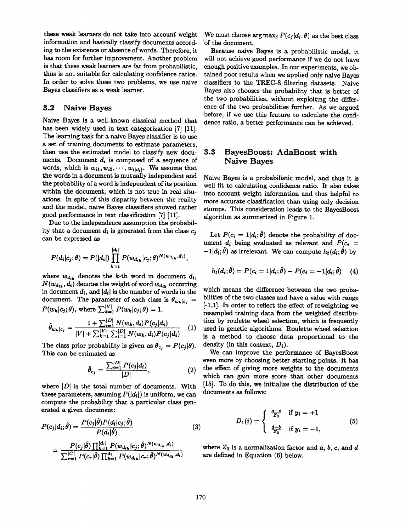these weak learners do not take into account weight information and basically classify documents according to the existence or absence of words. Therefore, it has room for further improvement. Another problem is that these weak learners are far from probabilistic, thus is not suitable for calculating confidence ratios. In order to solve these two problems, we use naive Bayes classifiers as a weak learner.

#### 3.2 Naive Bayes

Naive Bayes is a well-known classical method that has been widely used in text categorization [7] [11]. The learning task for a naive Bayes classifier is to use a set of training documents to estimate parameters, then use the estimated model to classify new documents. Document  $d_i$  is composed of a sequence of words, which is  $w_{i1}, w_{i2}, \dots, w_{i|d_i|}$ . We assume that the words in a document is mutually independent and the probability of a word is independent of its position within the document, which is not true in real situations. In spite of this disparity between the reality and the model, naive Bayes classifiers showed rather good performance in text classification [7] [11].

Due to the independence assumption the probability that a document  $d_i$  is generated from the class  $c_i$ can be expressed as

$$
P(d_i|c_j;\theta) = P(|d_i|) \prod_{k=1}^{|d_i|} P(w_{d_{ik}}|c_j;\theta)^{N(w_{d_{ik}},d_i)},
$$

where  $w_{d_{ik}}$  denotes the k-th word in document  $d_i$ ,  $N(w_{d_{ik}}, d_i)$  denotes the weight of word  $w_{d_{ik}}$  occurring in document  $d_i$ , and  $|d_i|$  is the number of words in the document. The parameter of each class is  $\theta_{w_k|c_i} =$  $P(w_k|c_j;\theta)$ , where  $\sum_{k=1}^{|V|} P(w_k|c_j;\theta) = 1$ .

$$
\hat{\theta}_{w_k|c_j} = \frac{1 + \sum_{i=1}^{|D|} N(w_k, d_i) P(c_j|d_i)}{|V| + \sum_{k=1}^{|V|} \sum_{i=1}^{|D|} N(w_k, d_i) P(c_j|d_i)} \quad (1)
$$

The class prior probability is given as  $\theta_{c_j} = P(c_j|\theta)$ . This can be estimated as

$$
\hat{\theta}_{c_j} = \frac{\sum_{i=1}^{|D|} P(c_j|d_i)}{|D|},
$$
\n(2)

where  $|D|$  is the total number of documents. With these parameters, assuming  $P(|d_i|)$  is uniform, we can compute the probability that a particular class generated a given document:

$$
P(c_j|d_i; \hat{\theta}) = \frac{P(c_j|\theta)P(d_i|c_j; \theta)}{P(d_i|\hat{\theta})}
$$
(3)  

$$
= \frac{P(c_j|\hat{\theta})\prod_{k=1}^{|d_i|}P(w_{d_{ik}}|c_j; \hat{\theta})^{N(w_{d_{ik}}, d_i)}}{\sum_{r=1}^{|C|}P(c_r|\hat{\theta})\prod_{k=1}^{d_i}P(w_{d_{ik}}|c_r; \hat{\theta})^{N(w_{d_{ik}}, d_i)}}
$$

We must choose arg max<sub>j</sub>  $P(c_i|d_i;\theta)$  as the best class 'of the document.

Because naive Bayes is a probabilistic model, it will not achieve good performance if we do not have enough positive examples. In our experiments, we obtained poor results when we applied only naive Bayes classifiers to the TREC-8 filtering datasets. Naive Bayes also chooses the probability that is better of the two probabilities, without exploiting the difference of the two probabilities further. As we argued before, if we use this feature to calculate the confidence ratio, a better performance can be achieved.

#### 3.3 BayesBoost: AdaBoost with Naive Bayes

Naive Bayes is a probabilistic model, and thus it is well fit to calculating confidence ratio. It also takes into account weight information and thus helpful to more accurate classification than using only decision stumps. This consideration leads to the BayesBoost algorithm as summerized in Figure 1.

Let  $P(c_i = 1|d_i;\hat{\theta})$  denote the probability of document  $d_i$  being evaluated as relevant and  $P(c_i =$  $-1|d_i$ ;  $\hat{\theta}$ ) as irrelevant. We can compute  $h_t(d_i; \hat{\theta})$  by

$$
h_t(d_i; \hat{\theta}) = P(c_i = 1 | d_i; \hat{\theta}) - P(c_i = -1 | d_i; \hat{\theta}) \quad (4)
$$

which means the difference between the two probabilities of the two classes and have a value with range  $[-1,1]$ . In order to reflect the effect of reweighting we resampled training data from the weighted distribution by roulette wheel selection, which is frequently used in genetic algorithms. Roulette wheel selection is a method to choose data proportional to the density (in this context,  $D_i$ ).

We can improve the performance of BayesBoost even more by choosing better starting points. It has the effect of giving more weights to the documents which can gain more score than other documents [15]. To do this, we initialize the distribution of the documents as follows:

$$
D_1(i) = \begin{cases} \frac{a-c}{Z_0} & \text{if } y_i = +1 \\ \frac{d-b}{Z_0} & \text{if } y_i = -1, \end{cases}
$$
 (5)

where  $Z_0$  is a normalization factor and a, b, c, and d are defined in Equation (6) below.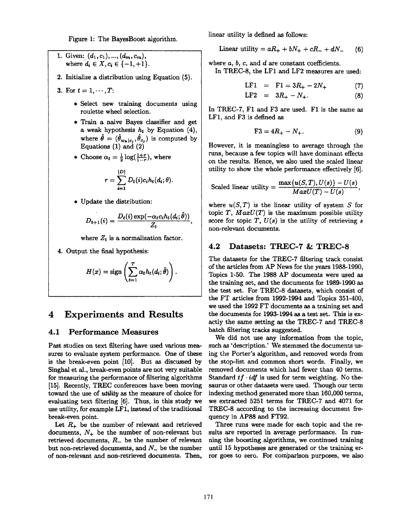Figure 1: The BayesBoost algorithm.

1. Given:  $(d_1, c_1), ..., (d_m, c_m),$ where  $d_i \in X, c_i \in \{-1, +1\}.$ 

- 2. Initialize a distribution using Equation (5).
- 3. For  $t = 1, \dots, T$ :
	- Select new training documents using roulette wheel selection.
	- Train a naive Bayes classifier and get a weak hypothesis  $h_t$  by Equation (4), where  $\hat{\theta} = (\hat{\theta}_{w_k|c_i}, \hat{\theta}_{c_i})$  is computed by Equations (1) and (2)
	- Choose  $\alpha_t = \frac{1}{2} \log(\frac{1+r}{1-r})$ , where

$$
r=\sum_{i=1}^{|D|}D_t(i)c_ih_t(d_i;\theta).
$$

• Update the distribution:

$$
D_{t+1}(i) = \frac{D_t(i) \exp(-\alpha_t c_i h_t(d_i; \hat{\theta}))}{Z_t},
$$

where  $Z_t$  is a normalization factor.

4. Output the final hypothesis:

$$
H(x) = \text{sign}\left(\sum_{t=1}^T \alpha_t h_t(d_i; \hat{\theta})\right).
$$

## **4 Experiments and Results**

#### **4.1 Performance Measures**

Past studies on text filtering have used various measures to evaluate system performance. One of these is the break-even point [10]. But as discussed by Singhal et al., break-even points are not very suitable for measuring the performance of filtering algorithms [15]. Recently, TREC conferences have been moving toward the use of *utility as* the measure of choice for evaluating text filtering [6]. Thus, in this study we use utility, for example LF1, instead of the traditional break-even point.

Let  $R_+$  be the number of relevant and retrieved documents,  $N_+$  be the number of non-relevant but retrieved documents,  $R_{-}$  be the number of relevant but non-retrieved documents, and  $N_{-}$  be the number of non-relevant and non-retrieved documents. Then, linear utility is defined as follows:

$$
Linear utility = aR_+ + bN_+ + cR_- + dN_- \qquad (6)
$$

where  $a, b, c$ , and  $d$  are constant coefficients.

In TREC-8, the LF1 and LF2 measures are used:

$$
LF1 = F1 = 3R_{+} - 2N_{+}
$$
 (7)

$$
LF2 = 3R_{+} - N_{+}.
$$
 (8)

In TREC-7, F1 and F3 are used. F1 is the same as LF1, and F3 is defined as

$$
F3 = 4R_+ - N_+.
$$
 (9)

However, it is meaningless to average through the runs, because a few topics will have dominant effects on the results. Hence, we also used the scaled linear utility to show the whole performance effectively [6].

Scaled linear utility = 
$$
\frac{\max\{u(S,T),U(s)\}-U(s)}{MaxU(T)-U(s)},
$$

where  $u(S,T)$  is the linear utility of system  $S$  for topic  $T$ ,  $MaxU(T)$  is the maximum possible utility score for topic  $T, U(s)$  is the utility of retrieving  $s$ non-relevant documents.

#### **4.2 Datasets: TREC-7 & TREC-8**

The datasets for the TREC-7 filtering track consist of the articles from AP News for the years 1988-1990, Topics 1-50. The 1988 AP documents were used as the training set, and the documents for 1989-1990 as the test set. For TREC-8 datasets, which consist of the FT articles from 1992-1994 and Topics 351-400, we used the 1992 FT documents as a training set and the documents for 1993-1994 as a test set. This is exactly the same setting as the TREC-7 and TREC-8 batch filtering tracks suggested.

We did not use any information from the topic, such as 'description.' We stemmed the documents using the Porter's algorithm, and removed words from the stop-list and common short words. Finally, we removed documents which had fewer than 40 terms. Standard  $tf \cdot idf$  is used for term weighting. No thesaurus or other datasets were used. Though our term indexing method generated more than 160,000 terms, we extracted 5251 terms for TREC-7 and 4071 for TREC-8 according to the increasing document frequency in AP88 and FT92.

Three runs were made for each topic and the results are reported in average performance. In running the boosting algorithms, we continued training until 15 hypotheses are generated or the training error goes to zero. For comparison purposes, we also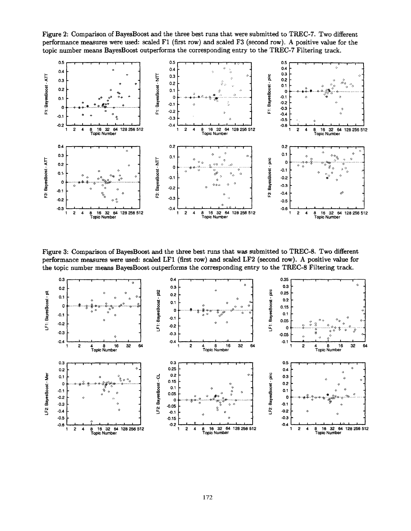Figure 2: Comparison of BayesBoost and the three best runs that were submitted to TREC-7. Two different performance measures were used: scaled F1 (first row) and scaled F3 (second row). A positive value for the topic number means BayesBoost outperforms the corresponding entry to the TREC-7 Filtering track.



Figure 3: Comparison of BayesBoost and the three best runs that was submitted to TREC-8. Two different performance measures were used: scaled LF1 (first row) and scaled LF2 (second row). A positive value for the topic number means BayesBoost outperforms the corresponding entry to the TREC-8 Filtering track.

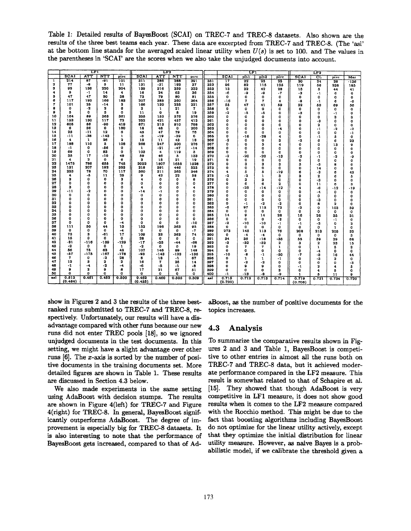Table 1: Detailed results of BayesBoost (SCAI) on TREC-7 and TREC-8 datasets. Also shown are the results of the three best teams each year. These data are excerpted from TREC-7 and TREC-8. (The 'asl' at the bottom line stands for the averaged scaled linear utility when  $U(s)$  is set to 100. and The values in the parentheses in 'SCAI' are the scores when we also take the unjudged documents into account.

|          |                  | $\overline{\text{LFI}}$ |              |                         | LF <sub>2</sub>  |             |           |                     |            | LF1              |                 |                   | LF <sub>2</sub>         |                  |                         |                  |                  |
|----------|------------------|-------------------------|--------------|-------------------------|------------------|-------------|-----------|---------------------|------------|------------------|-----------------|-------------------|-------------------------|------------------|-------------------------|------------------|------------------|
|          | SCAI             | ATT                     | NTT          | pire                    | SCAI             | <b>ATT</b>  | NTT       | DIFC                |            | SCAI             | piti            | plt2              | pire                    | SCAI             | ᠁                       | pirc             | Mer              |
| 1        | 214              | 87                      | -91          | 101                     | 311              | 386         | 288       | 391                 | 351        | $\overline{17}$  | $\overline{22}$ | 25                | 23                      | 20               | $\overline{24}$         | $\overline{28}$  | $-136$           |
| 2        | 77               | -8                      | 5            | 11                      | 131              | $-31$       | 193       | 37                  | 352        | 96               | 82              | 115               | 125                     | 119              | 56                      | 238              | 185              |
| з        | 93               | 136                     | 220          | 204                     | 139              | 316         | 359       | 333                 | 353        | 13               | 32              | 42                | 28                      | 15               | 5                       | 44               | 41               |
| 4        | ٥                | -1                      | 14           | 4                       | 16               | 24          | 63        | 36                  | 354        | -6               | -9              | -9                | -7                      | -3               | $\cdot$ 1               | 6                | o                |
| Б        | 47               | 47                      | 50           | 38                      | 73               | 79          | 80        | 81                  | 355        | $\mathbf{o}$     | 0               | 0                 | $\mathbf o$             | 0                | o                       | $\mathbf 0$      | $\mathbf{o}$     |
| 6        | 117              | 193                     | 166          | 183                     | 207              | 385         | 360       | 364                 | 356        | $-16$            | 7               | $\overline{r}$    | 4                       | -8               | -1                      | 6                | -6               |
| 7        | 101              | 25                      | -14          | 3                       | 166              | 130         | 235       | 231                 | 357        | 55               | 47              | 41                | 59                      | 52               | 50                      | 69               | 56               |
| 8        | 0                | -2                      | 2            | 6                       | 2                | 1           | 21        | 7                   | 358        | 0                | ٥               | O                 | 0                       | o                | o                       | o                | $\mathbf o$      |
| $\Omega$ | 5                | $\Omega$                | з            | $\mathbf{o}$            | 11               | o           | 8         | 19                  | 359        | -2               | -5              | -5                | $\mathbf o$             | -3               | 0                       | -1               | 0                |
| 10       | 164              | 89                      | 363          | 361                     | 255              | 152         | 576       | 576                 | 360        | $\Omega$         | o               | ٥                 | o                       | o                | $\circ$                 | 3                | 3                |
| 11       | 153              | 130                     | 117          | 72                      | 252              | 421         | 457       | 413                 | 361        | $\mathbf{o}$     | $\Omega$        | $\Omega$          | $\mathbf{o}$            | o                | -3                      | o                | o                |
| 12       | 605              | 86                      | -90          | 419                     | 871              | 213         | 910       | 788                 | 362        | 0                | 0               | o                 | o                       | o                | $\overline{\mathbf{2}}$ | o                | $\mathbf o$      |
| 13       | 6                | 36                      | $\bullet$    | 180                     | 18               | 48          | o         | 260                 | 363        | 0                | O               | ٥                 | -4                      | O                | - 1                     | -2               | $\cdot$ 2        |
| 14       | 23               | $-11$                   | 12           | 6                       | 45               | 47          | 79        | 76                  | 364        | $\mathbf{o}$     | 0               | o                 | 0                       | o                | $\mathbf{o}$            | o                | $-1$             |
| 15       | $-11$            | -38                     | -143         | 1                       | -3               | -19         | -39       | 6                   | 365        | 0                | -16             | -28               | 4                       | o                | -1                      | 5                | $\mathbf{o}$     |
| 16       | 4                | $\mathbf{1}$            | 26           | $\overline{\mathbf{2}}$ | 15               | 11          | 43        | 18                  | 366        | -2               | 0               | o                 | 3                       | -2               | 6                       | 6                | 23               |
| 17       | 188              | 110                     | P.           | 108                     | 268              | 247         | 300       | 276                 | 367        | 0                | O               | 5                 | 4                       | 0                | O                       | 13               | o                |
| 18       | $-1$             | $\mathbf{o}$            | -86          | 0                       | 1                | $-21$       | $-47$     | $-14$               | 368        | 0                | 0               | o                 | $\mathbf 0$             | O                | 0                       | 0                | $\mathbf o$      |
| 19       | 69               | $\Omega$                | 83           | 0                       | 103              | 4           | 119       | з                   | 369        | $\bf{o}$         | O               | $\Omega$          | $\bf o$                 | 0                | $\mathbf{o}$            | o                | 0                |
| 20       | 35               | 17<br>$\mathbf{z}$      | -10          | 49                      | 59               | 46          | 5         | 133                 | 370        | $-2$             | -20             | -20               | -13                     | -2               | -1                      | -2               | -9               |
| 21<br>22 | 4                |                         | $\mathbf{o}$ | 6                       | з                | 15          | 21        | 19                  | 371        | $\mathbf{0}$     | o               | ٥                 | 0                       | o                | 0                       | O                | $\mathbf{o}$     |
| 23       | 1475             | 786<br>207              | 655<br>192   | 745                     | 2022             | 1807        | 1655      | 1528                | 372        | 0                | 3               | 3                 | 3                       | 3                | -3                      | 8                | 0                |
| 24       | 131<br>253       | 78                      | 70           | 353                     | 218              | 391         | 446       | 523                 | 373        | $\mathbf o$      | O               | o                 | $\Omega$                | 0                | 14                      | 0                | 0                |
| 25       | 4                | -8                      | 11           | 117<br>25               | 360<br>9         | 311<br>42   | 363<br>22 | 346                 | 374        | 4                | 5               | 5                 | -19                     | 6                | -3                      | 6                | 42               |
| 26       | з                | $\bf{0}$                | $\bf o$      | з                       | 4                | 0           | ٥         | 58<br>8             | 375<br>376 | -2<br>0          | -2<br>3         | $\mathbf{1}$      | 3                       | 3                | $\mathbf{z}$            | 6                | 5                |
| 27       | 0                | $\mathbf 0$             | O            | $\bf{0}$                | O                | 0           | o         | ٥                   |            |                  |                 | 3                 | $\mathbf 0$             | 0                | -3                      | $\bf{0}$         | 0                |
| 28       | з                | 0                       | o            | 0                       | 4                | 0           | 0         | $\ddot{\textbf{a}}$ | 377<br>378 | 0<br>o           | 6<br>$-25$      | 6                 | 2<br>$-12$              | 0                | 11                      | 6                | 3                |
| 29       | $-11$            | -2                      | o            | 0                       | $-14$            | -1          | ٥         | 0                   | 379        | 0                | $\mathbf o$     | $-14$<br>$\bf{o}$ |                         | 4                | -6                      | $-12$            | $-19$            |
| 30       | ٥                | 0                       | 0            | 0                       | $\mathbf o$      | o           | O         | O                   | 380        | $\bf o$          | O               | o                 | 0                       | o                | -4                      | 0                | 0                |
| 31       | 0                | 0                       | o            | o                       | O                | ٥           | ٥         | 0                   | 381        | $\Omega$         | $\Omega$        | $\mathbf 0$       | o<br>0                  | 0<br>o           | 0<br>-3                 | $\mathbf 0$<br>o | 0                |
| 32       | ۵                | 0                       | $\Omega$     | ٥                       | o                | 0           | ۵         | o                   | 382        | o                | -1              | -2                | -2                      | 0                | 8                       | $\overline{2}$   | 0<br>$\mathbf 0$ |
| 33       | 0                | 0                       | $\mathbf 0$  | $\mathbf{0}$            | o                | o           | Q         | o                   | 383        | -6               | 97              | 113               | 72                      | -2               | $\mathbf 0$             | 103              |                  |
| 34       | O                | $\mathbf 0$             | 0            | 0                       | o                | 0           | ٥         | o                   | 384        | o                | ٥               | o                 | O                       | 0                | O                       | 0                | 59<br>o          |
| 35       | o                | $\mathbf{0}$            | o            | O                       | 0                | o           | ٥         | ٥                   | 385        | 14               | g               | 14                | 28                      | 16               | 26                      | 35               | 31               |
| 36       | o                | 0                       | o            | ٥                       | o                | 0           | O         | $\Omega$            | 386        | O                | O               | 0                 | -2                      | o                | 0                       | $-1$             | 0                |
| 37       | o                | 0                       | o            | -4                      | $\Omega$         | o           | 0         | -10                 | 387        | -2               | $-10$           | $-10$             | $-1$                    | -1               | -3                      | $\mathbf{o}$     | з                |
| 38       | 111              | 50                      | 44           | 13                      | 152              | 196         | 363       | 95                  | 388        | $\mathbf o$      | o               | 0                 | 0                       | $\bf{0}$         | o                       | $\mathbf{1}$     | o                |
| 39       | $\bullet$        | 0                       | O            | -4                      | 0                | $\mathbf o$ | 0         | -7                  | 389        | 273              | 145             | 113               | 76                      | 208              | 213                     | 203              | 32               |
| 40       | 73               | s                       | -61          | 17                      | 109              | 33          | 363       | 74                  | 390        | $\mathbf o$      | -4              | $-4$              | 0                       | 0                | 0                       | $\bf{0}$         | з                |
| 41       | 15               | ٥                       | 0            | $\circ$                 | 28               | o           | 0         | ٥                   | 391        | 34               | 36              | $-18$             | $-35$                   | 55               | 59                      | 39               | 68               |
| 42       | -31              | -116                    | -139         | $-129$                  | -17              | -33         | -44       | -68                 | 392        | -3               | $-32$           | -32               | $\overline{\mathbf{2}}$ | 3                | 2                       | 23               | 15               |
| 43       | -2               | 0                       | 0            | 1                       | $-2$             | $\mathbf o$ | 0         | 19                  | 393        | ٥                | 7               | 7                 | ı                       | o                | 1                       | 5                | з                |
| 44       | 56               | 75                      | 63           | 43                      | 107              | 146         | 89        | 148                 | 394        | $\Omega$         | ٥               | o                 | ٥                       | 0                | -4                      | $\mathbf 0$      | 0                |
| 45       | -57              | $-175$                  | -167         | $-178$                  | -93              | -143        | -123      | $-136$              | 395        | $-10$            | -8              | $-1$              | $-50$                   | -7               | -3                      | 16               | 44               |
| 46       | γ                | $\bf o$                 | -2           | 28                      | 8                | 18          | -1        | 67                  | 396        | o                | 1               | 1                 | $-1$                    | $\mathbf o$      | -3                      | $\mathbf{z}$     | ٥                |
| 47       | 12               | з                       | 2            | 2                       | 16               | 7           | 25        | 14                  | 397        | $\mathbf o$      | -2              | $-2$              | o                       | о                | o                       | o                | -3               |
| 48       | -1               | -4                      | -2           | -4                      | -6               | -5          | -1        | -8                  | 398        | $\bf{0}$         | ٥               | 9                 | 0                       | -1               | $\overline{2}$          | 4                | 5                |
| 49       | 9                | $\overline{\mathbf{2}}$ | 9            | 8                       | 17               | 21          | 67        | 51                  | 399        | O                | O               | o                 | з                       | o                | 4                       | 5                | o                |
| 50       | o                | o                       | o            | o                       | $\bf{a}$         | o           | O         | O                   | 400        | -1               | $-13$           | -8                | -9                      | $\mathbf{1}$     | 5                       | 11               | g                |
| asl      | 0.512<br>(0.484) | 0.461                   | 0.452        | 0.500                   | 0.462<br>(0.435) | 0.460       | 0.505     | 0.509               | asi        | 0.715<br>(ሲ.ፖበቢ) | 0.712           | 0.713             | 0.714                   | 0.719<br>(0.708) | 0.721                   | 0.734            | 0.720            |

show in Figures 2 and 3 the results of the three bestranked runs submitted to TREC-7 and TREC-8, respectively. Unfortunately, our results will have a disadvantage compared with other runs because our new runs did not enter TREC pools [18], so we ignored unjudged documents in the test documents. In this setting, we might have a slight advantage over other runs  $[6]$ . The x-axis is sorted by the number of positive documents in the training documents set. More detailed figures are shown in Table 1. These results are discussed in Section 4.3 below.

We also made experiments in the same setting using AdaBoost with decision stumps. The results are shown in Figure 4(left) for TREC-7 and Figure 4(right) for TREC-8. In general, BayesBoost significantly outperforms AdaBoost. The degree of improvement is especially big for TREC-8 datasets. It is also interesting to note that the performance of BayesBoost gets increased, compared to that of AdaBoost, as the number of positive documents for the topics increases.

#### 4.3 Analysis

To summarize the comparative results shown in Figures 2 and 3 and Table 1, BayesBoost is competitive to other entries in almost all the runs both on TREC-7 and TREC-8 data, but it achieved moderate performance compared in the LF2 measure. This result is somewhat related to that of Schapire et al. [15]. They showed that though AdaBoost is very competitive in LF1 measure, it does not show good results when it comes to the LF2 measure compared with the Rocchio method. This might be due to the fact that boosting algorithms including BavesBoost do not optimize for the linear utility actively, except that they optimize the initial distribution for linear utility measure. However, as naive Bayes is a probabilistic model, if we calibrate the threshold given a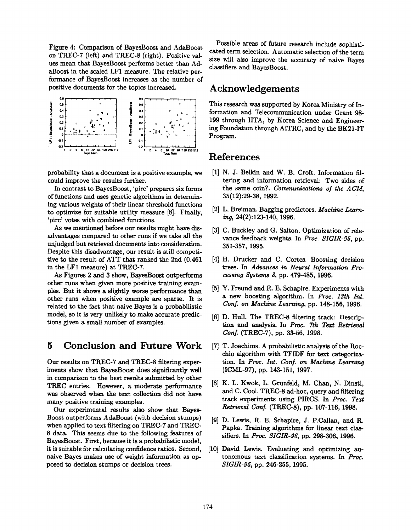Figure 4: Comparison of BayesBoost and AdaBoost on TREC-7 (left) and TREC-8 (right). Positive values mean that BayesBoost performs better than AdaBoost in the scaled LF1 measure. The relative performance of BayesBoost increases as the number of positive documents for the topics increased.



probability that a document is a positive example, we [1] could improve the results further.

In contrast to BayesBoost, 'pirc' prepares six forms of functions and uses genetic algorithms in determining various weights of their linear threshold functions to optimize for suitable utility measure [8]. Finally, 'pirc' votes with combined functions.

As we mentioned before our results might have disadvantages compared to other runs if we take all the unjudged but retrieved documents into consideration. Despite this disadvantage, our result is still competitive to the result of ATT that ranked the 2nd (0.461) in the LF1 measure) at TREC-7.

As Figures 2 and 3 show, BayesBoost outperforms other runs when given more positive training examples. But it shows a slightly worse performance than other runs when positive example are sparse. It is related to the fact that naive Bayes is a probabilistic model, so it is very unlikely to make accurate predictions given a small number of examples.

## **5** Conclusion and Future Work

Our results on TREC-7 and TREC-8 filtering experiments show that BayesBoost does significantly well in comparison to the best results submitted by other TREC entries. However, a moderate performance was observed when the text collection did not have many positive training examples.

Our experimental results also show that Bayes-Boost outperforms AdaBoost (with decision stumps) when applied to text filtering on TREC-7 and TREC-8 data. This seems due to the following features of BayesBoost. First, because it is a probabilistic model, it is suitable for calculating confidence ratios. Second, naive Bayes makes use of weight information as opposed to decision stumps or decision trees.

Possible areas of future research include sophisticated term selection. Automatic selection of the term size will also improve the accuracy of naive Bayes classifiers and BayesBoost.

## **Acknowledgements**

This research was supported by Korea Ministry of Information and Telecommunication under Grant 98- 199 through IITA, by Korea Science and Engineering Foundation through AITRC, and by the BK21-IT Program.

#### **References**

- [1] N. J. Belkin and W. B. Croft. Information filtering and information retrieval: Two sides of the same coin?. *Communications of the ACM,*  35(12):29-38, 1992.
- [2] L. Breiman. Bagging predictors. *Machine Learning,* 24(2):123.-140, 1996.
- [3] C. Buckley and G. Salton. Optimization of relevance feedback weights. In *Proc. SIGIR-95,* pp. 351-357, 1995.
- [4] H. Drucker and C. Cortes. Boosting decision trees. In *Advances in Neural Information Processing Systems 8,* pp. 479-485, 1996.
- Y. Freund and R. E. Schapire. Experiments with a new boosting algorithm. In *Proc. 13th Int. Conf. on Machine Learning, pp. 148-156, 1996.*
- [6] D. Hull. The TREC-8 filtering track: Description and analysis. In *Proc. 7th Text Retrieval Conf.* (TREC-7), pp. 33-56, 1998.
- [7] T. Joachims. A probabilistic analysis of the Rocchio algorithm with TFIDF for text categorization. In *Proc. Int. Conf. on Machine Learning*  (ICML-97), pp. 143-151, 1997.
- [8] K. L. Kwok, L. Grunfeld, M. Chan, N. Dinstl, and C. Cool. TREC-8 ad-hoc, query and filtering track experiments using PIRCS. In Proc. *Text Retrieval Conf.* (TREC-8), pp. 107-116, 1998.
- D. Lewis, R. E. Schapire, J. P.Callan, and R. Papka. Training algorithms for linear text classifiers. In *Proc. SIGIR-96*, pp. 298-306, 1996.
- [10] David Lewis. Evaluating and optimizing autonomous text classification systems. In *Proc. SLGIR-95,* pp. 246-255, 1995.